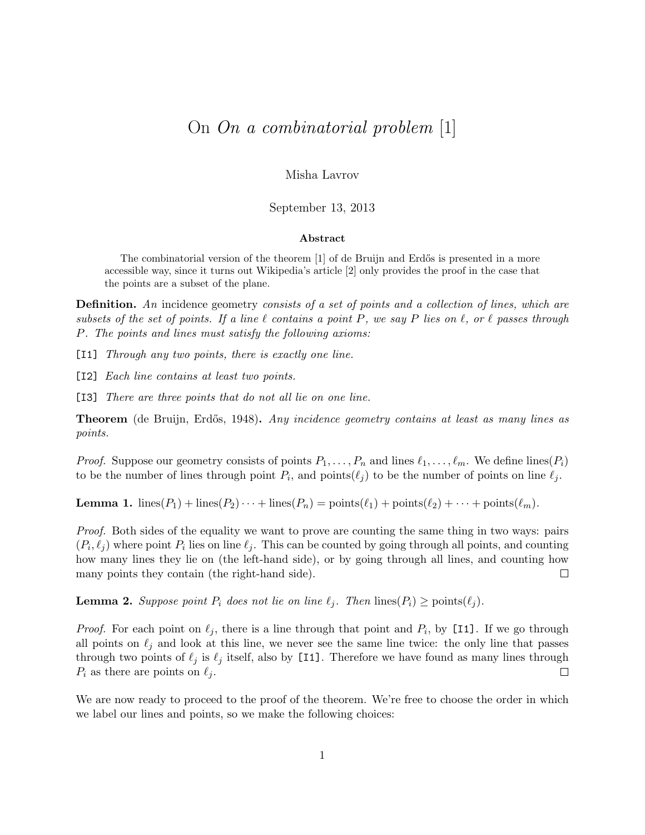## On On a combinatorial problem [1]

Misha Lavrov

September 13, 2013

## Abstract

The combinatorial version of the theorem [1] of de Bruijn and Erdős is presented in a more accessible way, since it turns out Wikipedia's article [2] only provides the proof in the case that the points are a subset of the plane.

**Definition.** An incidence geometry consists of a set of points and a collection of lines, which are subsets of the set of points. If a line  $\ell$  contains a point P, we say P lies on  $\ell$ , or  $\ell$  passes through P. The points and lines must satisfy the following axioms:

[I1] Through any two points, there is exactly one line.

[I2] Each line contains at least two points.

[I3] There are three points that do not all lie on one line.

**Theorem** (de Bruijn, Erdős, 1948). Any incidence geometry contains at least as many lines as points.

*Proof.* Suppose our geometry consists of points  $P_1, \ldots, P_n$  and lines  $\ell_1, \ldots, \ell_m$ . We define lines( $P_i$ ) to be the number of lines through point  $P_i$ , and points( $\ell_j$ ) to be the number of points on line  $\ell_j$ .

**Lemma 1.** lines( $P_1$ ) + lines( $P_2$ )  $\cdots$  + lines( $P_n$ ) = points( $\ell_1$ ) + points( $\ell_2$ ) +  $\cdots$  + points( $\ell_m$ ).

Proof. Both sides of the equality we want to prove are counting the same thing in two ways: pairs  $(P_i, \ell_j)$  where point  $P_i$  lies on line  $\ell_j$ . This can be counted by going through all points, and counting how many lines they lie on (the left-hand side), or by going through all lines, and counting how many points they contain (the right-hand side).  $\Box$ 

**Lemma 2.** Suppose point  $P_i$  does not lie on line  $\ell_j$ . Then lines $(P_i) \geq \text{points}(\ell_j)$ .

*Proof.* For each point on  $\ell_j$ , there is a line through that point and  $P_i$ , by [11]. If we go through all points on  $\ell_j$  and look at this line, we never see the same line twice: the only line that passes through two points of  $\ell_j$  is  $\ell_j$  itself, also by [I1]. Therefore we have found as many lines through  $P_i$  as there are points on  $\ell_j$ .  $\Box$ 

We are now ready to proceed to the proof of the theorem. We're free to choose the order in which we label our lines and points, so we make the following choices: